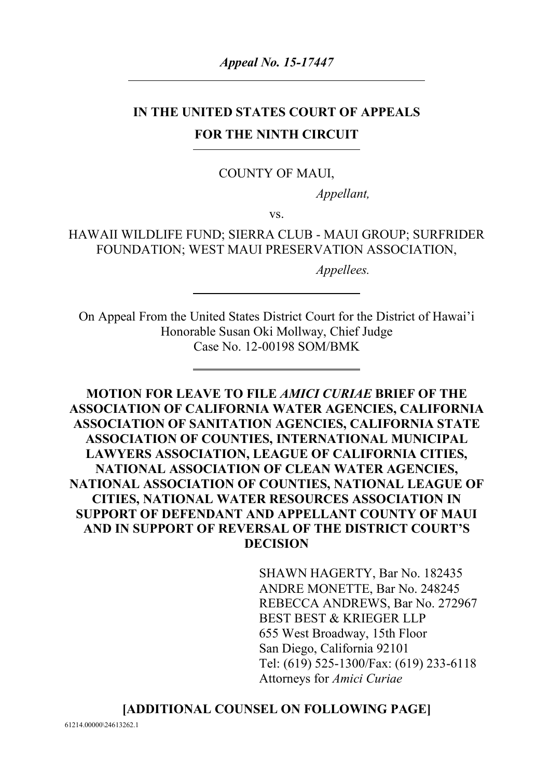*Appeal No. 15-17447*

# **IN THE UNITED STATES COURT OF APPEALS FOR THE NINTH CIRCUIT**

#### COUNTY OF MAUI,

*Appellant,*

vs.

HAWAII WILDLIFE FUND; SIERRA CLUB - MAUI GROUP; SURFRIDER FOUNDATION; WEST MAUI PRESERVATION ASSOCIATION,

*Appellees.*

On Appeal From the United States District Court for the District of Hawai'i Honorable Susan Oki Mollway, Chief Judge Case No. 12-00198 SOM/BMK

**MOTION FOR LEAVE TO FILE** *AMICI CURIAE* **BRIEF OF THE ASSOCIATION OF CALIFORNIA WATER AGENCIES, CALIFORNIA ASSOCIATION OF SANITATION AGENCIES, CALIFORNIA STATE ASSOCIATION OF COUNTIES, INTERNATIONAL MUNICIPAL LAWYERS ASSOCIATION, LEAGUE OF CALIFORNIA CITIES, NATIONAL ASSOCIATION OF CLEAN WATER AGENCIES, NATIONAL ASSOCIATION OF COUNTIES, NATIONAL LEAGUE OF CITIES, NATIONAL WATER RESOURCES ASSOCIATION IN SUPPORT OF DEFENDANT AND APPELLANT COUNTY OF MAUI AND IN SUPPORT OF REVERSAL OF THE DISTRICT COURT'S DECISION**

> SHAWN HAGERTY, Bar No. 182435 ANDRE MONETTE, Bar No. 248245 REBECCA ANDREWS, Bar No. 272967 BEST BEST & KRIEGER LLP 655 West Broadway, 15th Floor San Diego, California 92101 Tel: (619) 525-1300/Fax: (619) 233-6118 Attorneys for *Amici Curiae*

#### **[ADDITIONAL COUNSEL ON FOLLOWING PAGE]**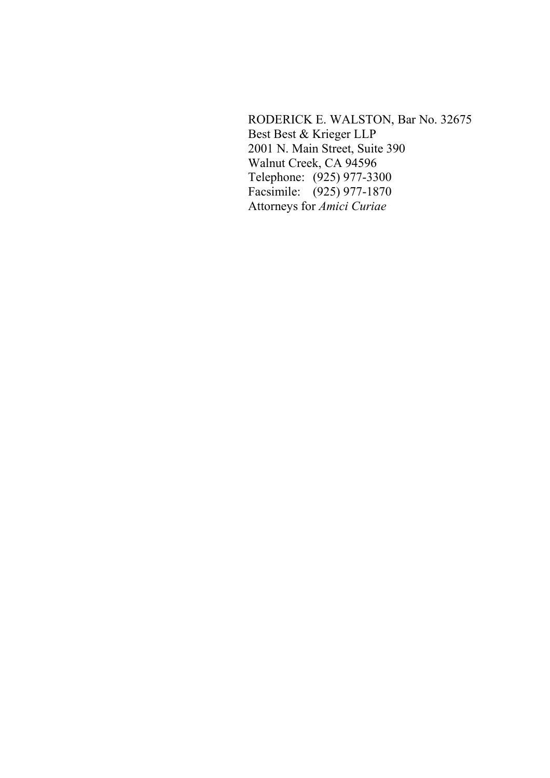RODERICK E. WALSTON, Bar No. 32675 Best Best & Krieger LLP 2001 N. Main Street, Suite 390 Walnut Creek, CA 94596 Telephone: (925) 977-3300 Facsimile: (925) 977-1870 Attorneys for *Amici Curiae*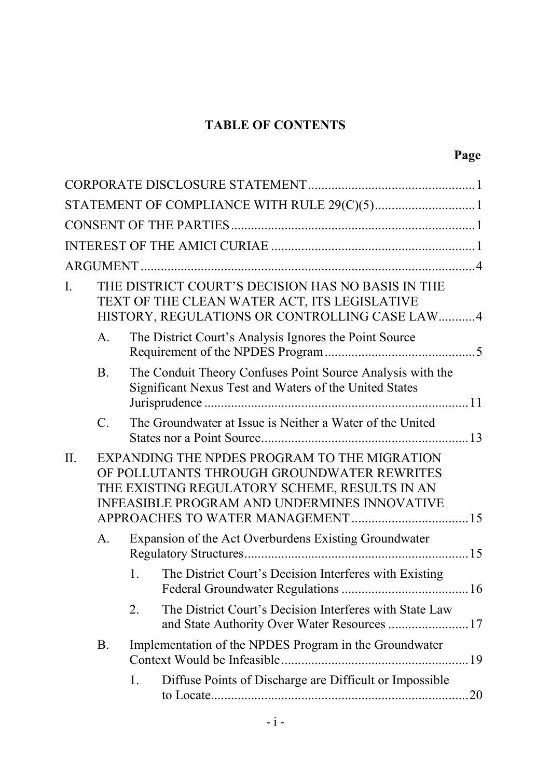# **TABLE OF CONTENTS**

|     |                                                                                                                                                                                                                                          |    | STATEMENT OF COMPLIANCE WITH RULE 29(C)(5)1                                                                          |  |  |
|-----|------------------------------------------------------------------------------------------------------------------------------------------------------------------------------------------------------------------------------------------|----|----------------------------------------------------------------------------------------------------------------------|--|--|
|     |                                                                                                                                                                                                                                          |    |                                                                                                                      |  |  |
|     |                                                                                                                                                                                                                                          |    |                                                                                                                      |  |  |
|     |                                                                                                                                                                                                                                          |    |                                                                                                                      |  |  |
| I.  | THE DISTRICT COURT'S DECISION HAS NO BASIS IN THE<br>TEXT OF THE CLEAN WATER ACT, ITS LEGISLATIVE<br>HISTORY, REGULATIONS OR CONTROLLING CASE LAW 4                                                                                      |    |                                                                                                                      |  |  |
|     | A.                                                                                                                                                                                                                                       |    | The District Court's Analysis Ignores the Point Source                                                               |  |  |
|     | <b>B</b> .                                                                                                                                                                                                                               |    | The Conduit Theory Confuses Point Source Analysis with the<br>Significant Nexus Test and Waters of the United States |  |  |
|     | $\mathcal{C}$ .                                                                                                                                                                                                                          |    | The Groundwater at Issue is Neither a Water of the United                                                            |  |  |
| II. | EXPANDING THE NPDES PROGRAM TO THE MIGRATION<br>OF POLLUTANTS THROUGH GROUNDWATER REWRITES<br>THE EXISTING REGULATORY SCHEME, RESULTS IN AN<br><b>INFEASIBLE PROGRAM AND UNDERMINES INNOVATIVE</b><br>APPROACHES TO WATER MANAGEMENT  15 |    |                                                                                                                      |  |  |
|     | A.                                                                                                                                                                                                                                       |    | Expansion of the Act Overburdens Existing Groundwater                                                                |  |  |
|     |                                                                                                                                                                                                                                          | 1. | The District Court's Decision Interferes with Existing                                                               |  |  |
|     |                                                                                                                                                                                                                                          | 2. | The District Court's Decision Interferes with State Law<br>and State Authority Over Water Resources  17              |  |  |
|     | <b>B.</b>                                                                                                                                                                                                                                |    | Implementation of the NPDES Program in the Groundwater                                                               |  |  |
|     |                                                                                                                                                                                                                                          | 1. | Diffuse Points of Discharge are Difficult or Impossible                                                              |  |  |
|     |                                                                                                                                                                                                                                          |    |                                                                                                                      |  |  |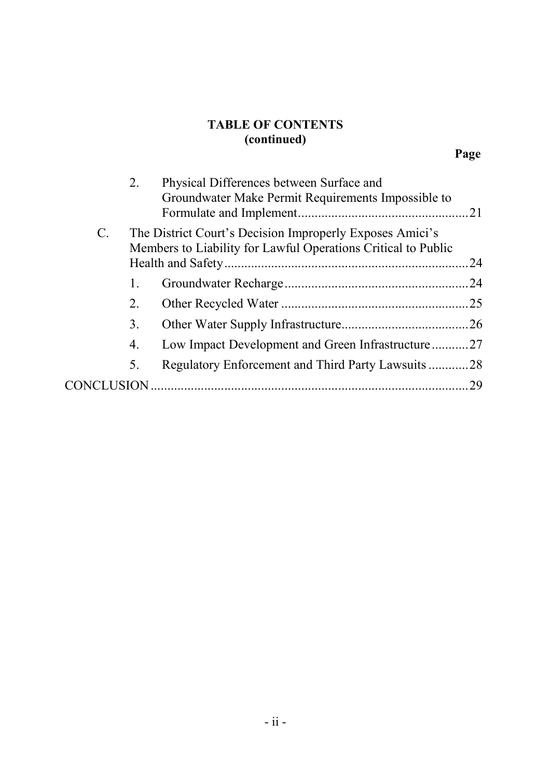# **TABLE OF CONTENTS (continued)**

|                 | 2.            | Physical Differences between Surface and<br>Groundwater Make Permit Requirements Impossible to                            |     |
|-----------------|---------------|---------------------------------------------------------------------------------------------------------------------------|-----|
| $\mathcal{C}$ . |               | The District Court's Decision Improperly Exposes Amici's<br>Members to Liability for Lawful Operations Critical to Public | .24 |
|                 |               |                                                                                                                           |     |
|                 | 1.            |                                                                                                                           | .24 |
|                 | 2.            |                                                                                                                           |     |
|                 | 3.            |                                                                                                                           |     |
|                 | 4.            | Low Impact Development and Green Infrastructure27                                                                         |     |
|                 | 5.            | Regulatory Enforcement and Third Party Lawsuits 28                                                                        |     |
| CO)             | <b>LUSION</b> |                                                                                                                           | 29  |
|                 |               |                                                                                                                           |     |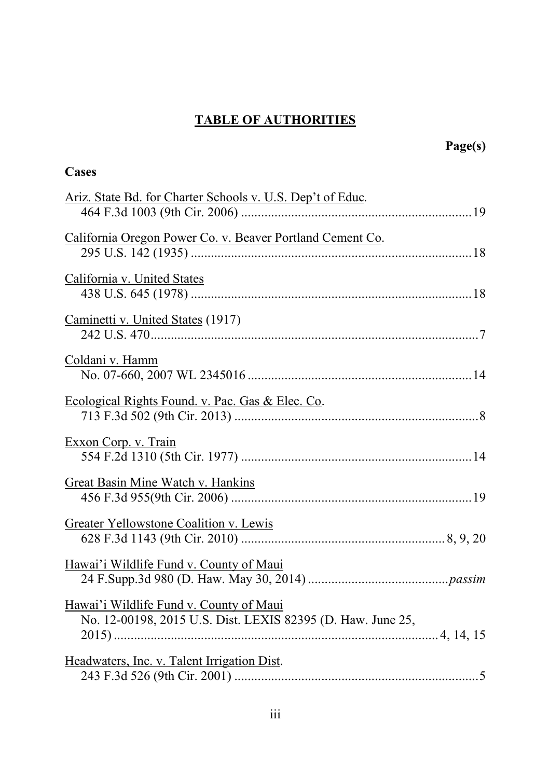# **TABLE OF AUTHORITIES**

| Cases                                                                                                  |
|--------------------------------------------------------------------------------------------------------|
| Ariz. State Bd. for Charter Schools v. U.S. Dep't of Educ.                                             |
| California Oregon Power Co. v. Beaver Portland Cement Co.                                              |
| California v. United States                                                                            |
| Caminetti v. United States (1917)                                                                      |
| Coldani v. Hamm                                                                                        |
| Ecological Rights Found. v. Pac. Gas & Elec. Co.                                                       |
| Exxon Corp. v. Train                                                                                   |
| Great Basin Mine Watch v. Hankins                                                                      |
| <b>Greater Yellowstone Coalition v. Lewis</b>                                                          |
| Hawai'i Wildlife Fund v. County of Maui                                                                |
| Hawai'i Wildlife Fund v. County of Maui<br>No. 12-00198, 2015 U.S. Dist. LEXIS 82395 (D. Haw. June 25, |
| Headwaters, Inc. v. Talent Irrigation Dist.                                                            |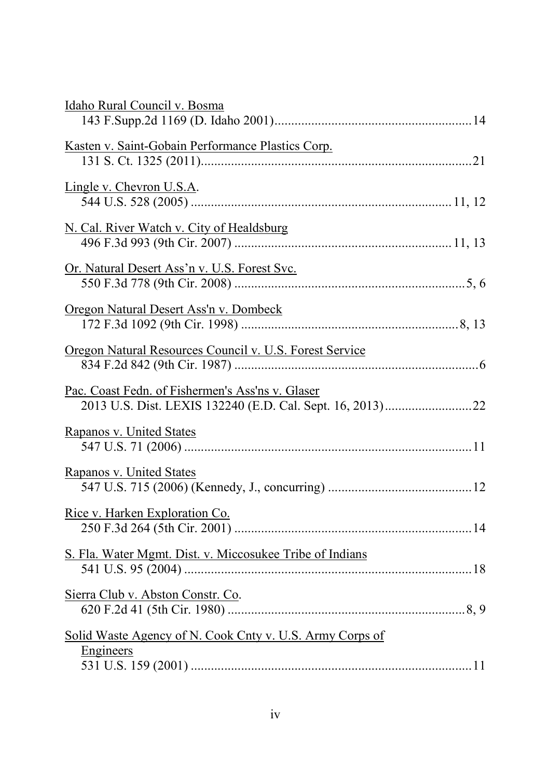| Idaho Rural Council v. Bosma                                                 |  |
|------------------------------------------------------------------------------|--|
| Kasten v. Saint-Gobain Performance Plastics Corp.                            |  |
| Lingle v. Chevron U.S.A.                                                     |  |
| N. Cal. River Watch v. City of Healdsburg                                    |  |
| Or. Natural Desert Ass'n v. U.S. Forest Svc.                                 |  |
| <u>Oregon Natural Desert Ass'n v. Dombeck</u>                                |  |
| Oregon Natural Resources Council v. U.S. Forest Service                      |  |
| Pac. Coast Fedn. of Fishermen's Ass'ns v. Glaser                             |  |
| <b>Rapanos v. United States</b>                                              |  |
| Rapanos v. United States                                                     |  |
| Rice v. Harken Exploration Co.                                               |  |
| S. Fla. Water Mgmt. Dist. v. Miccosukee Tribe of Indians                     |  |
| Sierra Club v. Abston Constr. Co.                                            |  |
| Solid Waste Agency of N. Cook Cnty v. U.S. Army Corps of<br><b>Engineers</b> |  |
|                                                                              |  |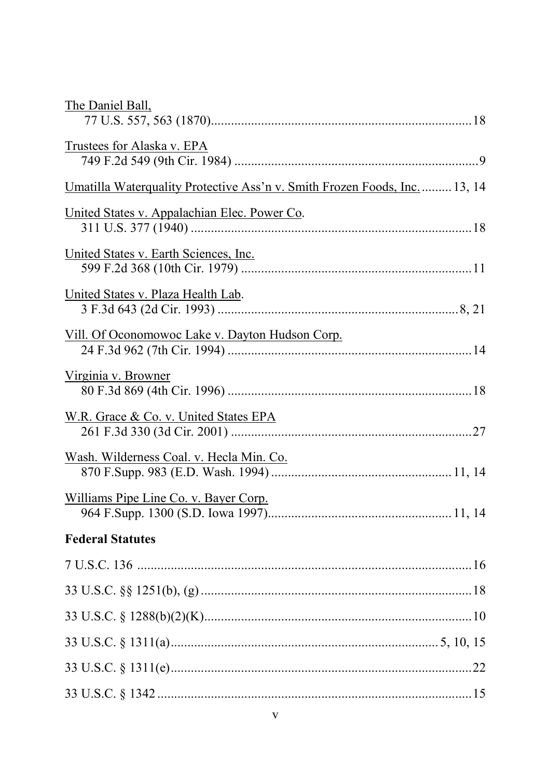| The Daniel Ball,                                                                 |
|----------------------------------------------------------------------------------|
| Trustees for Alaska v. EPA                                                       |
| <u>Umatilla Waterquality Protective Ass'n v. Smith Frozen Foods, Inc.</u> 13, 14 |
| <u>United States v. Appalachian Elec. Power Co.</u>                              |
| United States v. Earth Sciences, Inc.                                            |
| United States v. Plaza Health Lab.                                               |
| Vill. Of Oconomowoc Lake v. Dayton Hudson Corp.                                  |
| Virginia v. Browner                                                              |
| W.R. Grace & Co. v. United States EPA                                            |
| Wash. Wilderness Coal. v. Hecla Min. Co.                                         |
| Williams Pipe Line Co. v. Bayer Corp.                                            |
| <b>Federal Statutes</b>                                                          |
|                                                                                  |
|                                                                                  |
|                                                                                  |
|                                                                                  |
|                                                                                  |
|                                                                                  |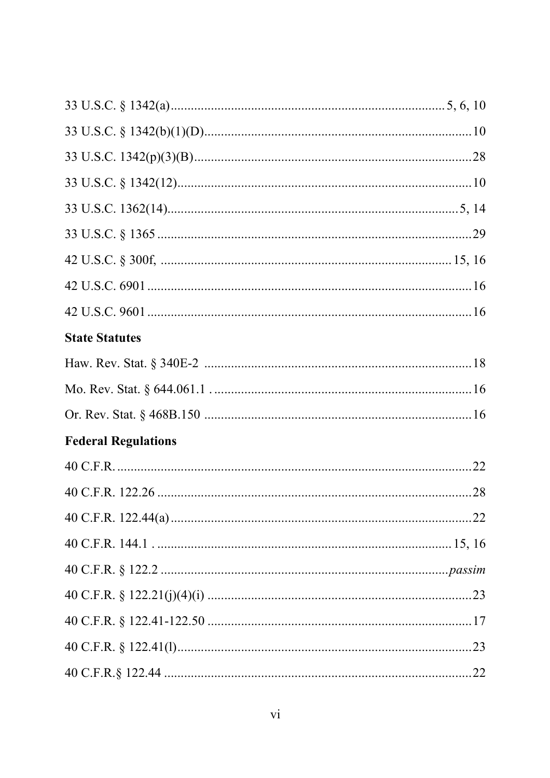| <b>State Statutes</b>      |  |
|----------------------------|--|
|                            |  |
|                            |  |
|                            |  |
| <b>Federal Regulations</b> |  |
|                            |  |
|                            |  |
|                            |  |
|                            |  |
|                            |  |
|                            |  |
|                            |  |
|                            |  |
|                            |  |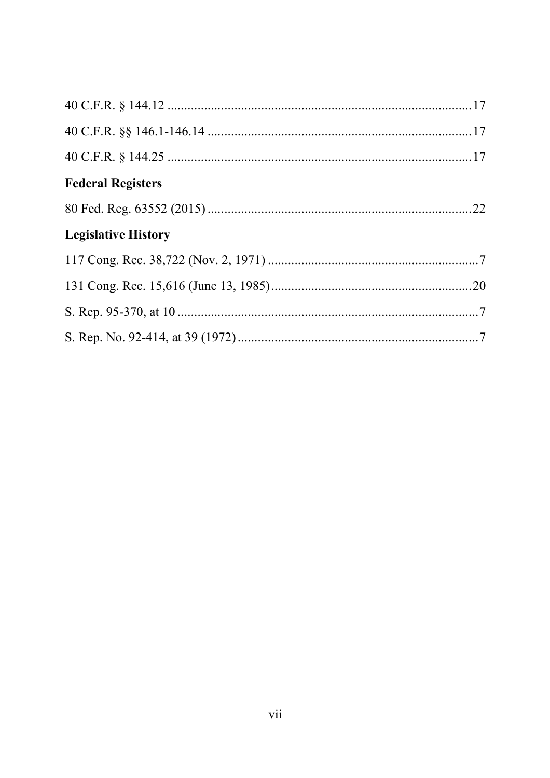| <b>Federal Registers</b>   |  |
|----------------------------|--|
|                            |  |
| <b>Legislative History</b> |  |
|                            |  |
|                            |  |
|                            |  |
|                            |  |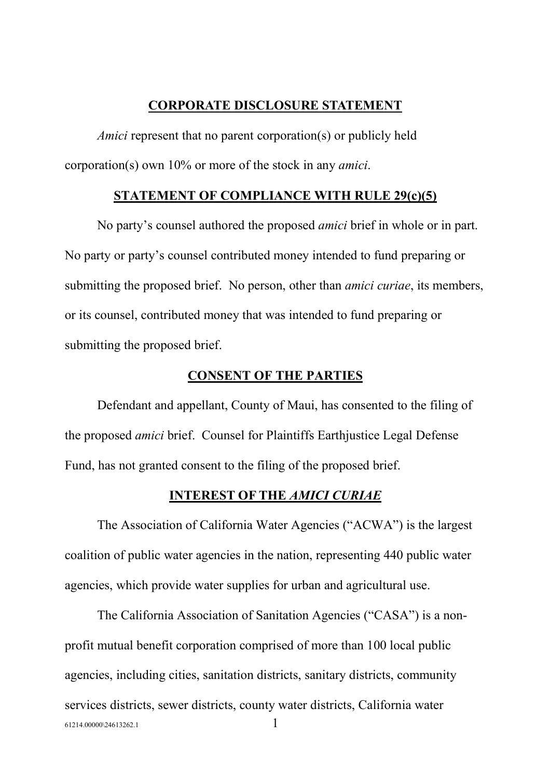#### **CORPORATE DISCLOSURE STATEMENT**

*Amici* represent that no parent corporation(s) or publicly held corporation(s) own 10% or more of the stock in any *amici*.

#### **STATEMENT OF COMPLIANCE WITH RULE 29(c)(5)**

No party's counsel authored the proposed *amici* brief in whole or in part. No party or party's counsel contributed money intended to fund preparing or submitting the proposed brief. No person, other than *amici curiae*, its members, or its counsel, contributed money that was intended to fund preparing or submitting the proposed brief.

#### **CONSENT OF THE PARTIES**

Defendant and appellant, County of Maui, has consented to the filing of the proposed *amici* brief. Counsel for Plaintiffs Earthjustice Legal Defense Fund, has not granted consent to the filing of the proposed brief.

#### **INTEREST OF THE** *AMICI CURIAE*

The Association of California Water Agencies ("ACWA") is the largest coalition of public water agencies in the nation, representing 440 public water agencies, which provide water supplies for urban and agricultural use.

 $61214.00000\backslash24613262.1$  1 The California Association of Sanitation Agencies ("CASA") is a nonprofit mutual benefit corporation comprised of more than 100 local public agencies, including cities, sanitation districts, sanitary districts, community services districts, sewer districts, county water districts, California water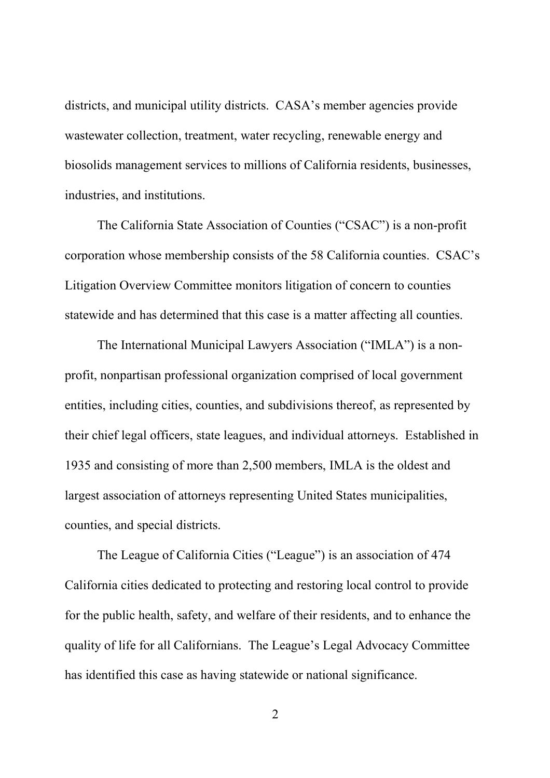districts, and municipal utility districts. CASA's member agencies provide wastewater collection, treatment, water recycling, renewable energy and biosolids management services to millions of California residents, businesses, industries, and institutions.

The California State Association of Counties ("CSAC") is a non-profit corporation whose membership consists of the 58 California counties. CSAC's Litigation Overview Committee monitors litigation of concern to counties statewide and has determined that this case is a matter affecting all counties.

The International Municipal Lawyers Association ("IMLA") is a nonprofit, nonpartisan professional organization comprised of local government entities, including cities, counties, and subdivisions thereof, as represented by their chief legal officers, state leagues, and individual attorneys. Established in 1935 and consisting of more than 2,500 members, IMLA is the oldest and largest association of attorneys representing United States municipalities, counties, and special districts.

The League of California Cities ("League") is an association of 474 California cities dedicated to protecting and restoring local control to provide for the public health, safety, and welfare of their residents, and to enhance the quality of life for all Californians. The League's Legal Advocacy Committee has identified this case as having statewide or national significance.

2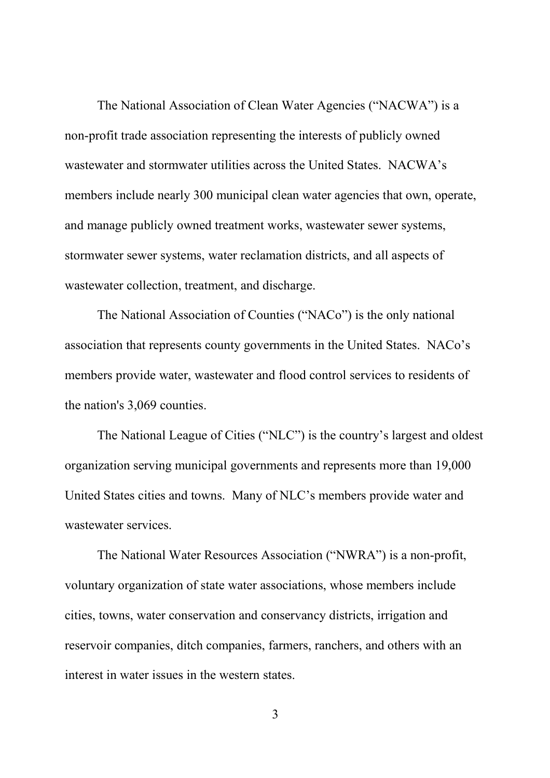The National Association of Clean Water Agencies ("NACWA") is a non-profit trade association representing the interests of publicly owned wastewater and stormwater utilities across the United States. NACWA's members include nearly 300 municipal clean water agencies that own, operate, and manage publicly owned treatment works, wastewater sewer systems, stormwater sewer systems, water reclamation districts, and all aspects of wastewater collection, treatment, and discharge.

The National Association of Counties ("NACo") is the only national association that represents county governments in the United States. NACo's members provide water, wastewater and flood control services to residents of the nation's 3,069 counties.

The National League of Cities ("NLC") is the country's largest and oldest organization serving municipal governments and represents more than 19,000 United States cities and towns. Many of NLC's members provide water and wastewater services.

The National Water Resources Association ("NWRA") is a non-profit, voluntary organization of state water associations, whose members include cities, towns, water conservation and conservancy districts, irrigation and reservoir companies, ditch companies, farmers, ranchers, and others with an interest in water issues in the western states.

3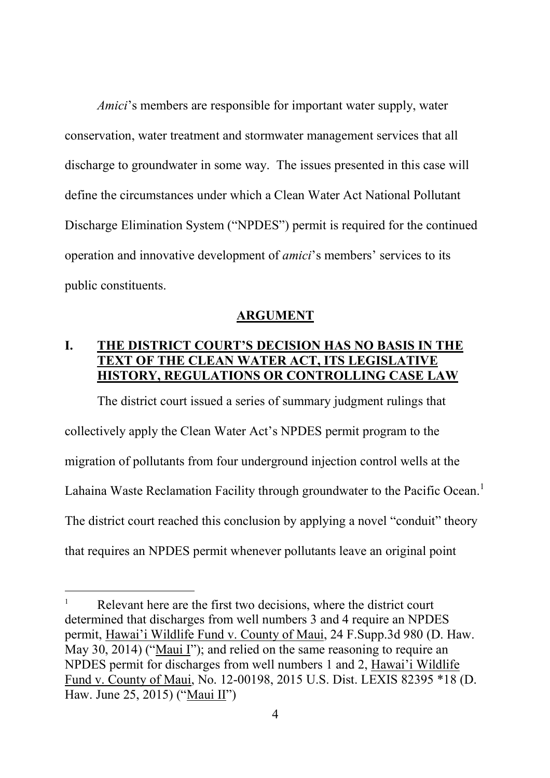*Amici*'s members are responsible for important water supply, water conservation, water treatment and stormwater management services that all discharge to groundwater in some way. The issues presented in this case will define the circumstances under which a Clean Water Act National Pollutant Discharge Elimination System ("NPDES") permit is required for the continued operation and innovative development of *amici*'s members' services to its public constituents.

#### **ARGUMENT**

### **I. THE DISTRICT COURT'S DECISION HAS NO BASIS IN THE TEXT OF THE CLEAN WATER ACT, ITS LEGISLATIVE HISTORY, REGULATIONS OR CONTROLLING CASE LAW**

The district court issued a series of summary judgment rulings that collectively apply the Clean Water Act's NPDES permit program to the migration of pollutants from four underground injection control wells at the Lahaina Waste Reclamation Facility through groundwater to the Pacific Ocean.<sup>1</sup> The district court reached this conclusion by applying a novel "conduit" theory that requires an NPDES permit whenever pollutants leave an original point

<sup>1</sup> Relevant here are the first two decisions, where the district court determined that discharges from well numbers 3 and 4 require an NPDES permit, Hawai'i Wildlife Fund v. County of Maui, 24 F.Supp.3d 980 (D. Haw. May 30, 2014) ("Maui I"); and relied on the same reasoning to require an NPDES permit for discharges from well numbers 1 and 2, Hawai'i Wildlife Fund v. County of Maui, No. 12-00198, 2015 U.S. Dist. LEXIS 82395 \*18 (D. Haw. June 25, 2015) ("Maui II")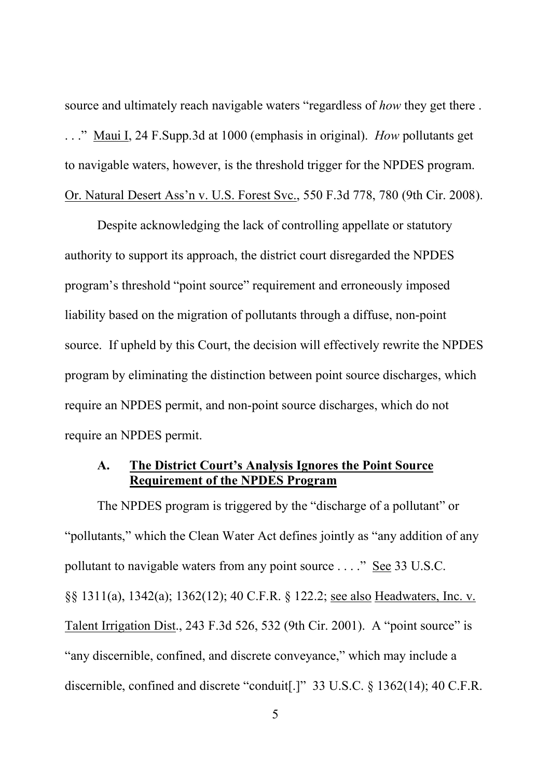source and ultimately reach navigable waters "regardless of *how* they get there . . . ." Maui I, 24 F.Supp.3d at 1000 (emphasis in original). *How* pollutants get to navigable waters, however, is the threshold trigger for the NPDES program. Or. Natural Desert Ass'n v. U.S. Forest Svc., 550 F.3d 778, 780 (9th Cir. 2008).

Despite acknowledging the lack of controlling appellate or statutory authority to support its approach, the district court disregarded the NPDES program's threshold "point source" requirement and erroneously imposed liability based on the migration of pollutants through a diffuse, non-point source. If upheld by this Court, the decision will effectively rewrite the NPDES program by eliminating the distinction between point source discharges, which require an NPDES permit, and non-point source discharges, which do not require an NPDES permit.

### **A. The District Court's Analysis Ignores the Point Source Requirement of the NPDES Program**

The NPDES program is triggered by the "discharge of a pollutant" or "pollutants," which the Clean Water Act defines jointly as "any addition of any pollutant to navigable waters from any point source . . . ." See 33 U.S.C. §§ 1311(a), 1342(a); 1362(12); 40 C.F.R. § 122.2; see also Headwaters, Inc. v. Talent Irrigation Dist., 243 F.3d 526, 532 (9th Cir. 2001). A "point source" is "any discernible, confined, and discrete conveyance," which may include a discernible, confined and discrete "conduit[.]" 33 U.S.C. § 1362(14); 40 C.F.R.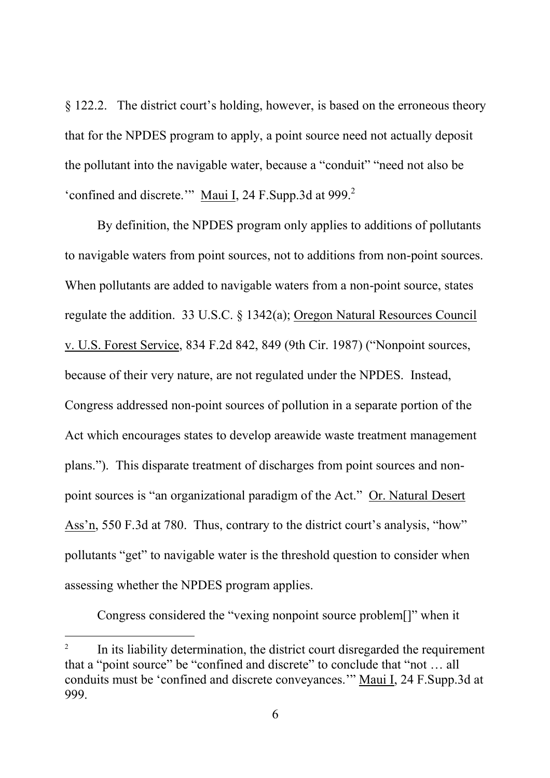§ 122.2. The district court's holding, however, is based on the erroneous theory that for the NPDES program to apply, a point source need not actually deposit the pollutant into the navigable water, because a "conduit" "need not also be 'confined and discrete.'" Maui I, 24 F.Supp.3d at 999.<sup>2</sup>

By definition, the NPDES program only applies to additions of pollutants to navigable waters from point sources, not to additions from non-point sources. When pollutants are added to navigable waters from a non-point source, states regulate the addition. 33 U.S.C. § 1342(a); Oregon Natural Resources Council v. U.S. Forest Service, 834 F.2d 842, 849 (9th Cir. 1987) ("Nonpoint sources, because of their very nature, are not regulated under the NPDES. Instead, Congress addressed non-point sources of pollution in a separate portion of the Act which encourages states to develop areawide waste treatment management plans."). This disparate treatment of discharges from point sources and nonpoint sources is "an organizational paradigm of the Act." Or. Natural Desert Ass'n, 550 F.3d at 780. Thus, contrary to the district court's analysis, "how" pollutants "get" to navigable water is the threshold question to consider when assessing whether the NPDES program applies.

Congress considered the "vexing nonpoint source problem[]" when it

<sup>2</sup> In its liability determination, the district court disregarded the requirement that a "point source" be "confined and discrete" to conclude that "not … all conduits must be 'confined and discrete conveyances.'" Maui I, 24 F.Supp.3d at 999.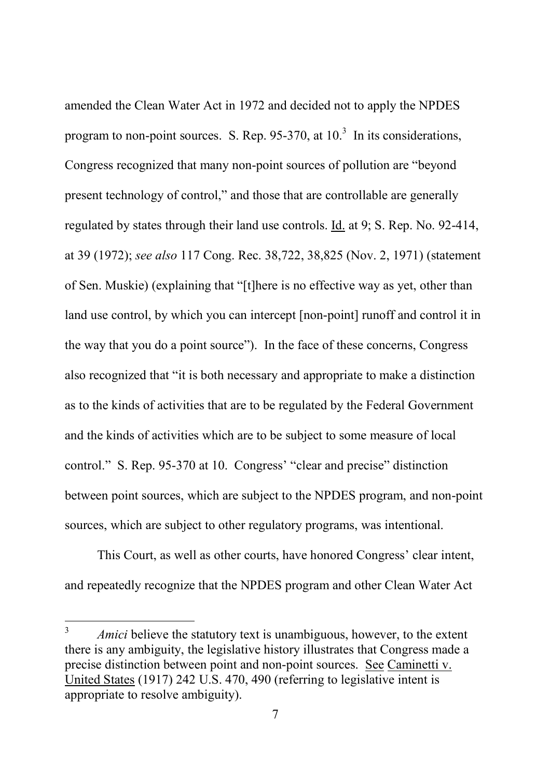amended the Clean Water Act in 1972 and decided not to apply the NPDES program to non-point sources. S. Rep. 95-370, at  $10<sup>3</sup>$  In its considerations, Congress recognized that many non-point sources of pollution are "beyond present technology of control," and those that are controllable are generally regulated by states through their land use controls. Id. at 9; S. Rep. No. 92-414, at 39 (1972); *see also* 117 Cong. Rec. 38,722, 38,825 (Nov. 2, 1971) (statement of Sen. Muskie) (explaining that "[t]here is no effective way as yet, other than land use control, by which you can intercept [non-point] runoff and control it in the way that you do a point source"). In the face of these concerns, Congress also recognized that "it is both necessary and appropriate to make a distinction as to the kinds of activities that are to be regulated by the Federal Government and the kinds of activities which are to be subject to some measure of local control." S. Rep. 95-370 at 10. Congress' "clear and precise" distinction between point sources, which are subject to the NPDES program, and non-point sources, which are subject to other regulatory programs, was intentional.

This Court, as well as other courts, have honored Congress' clear intent, and repeatedly recognize that the NPDES program and other Clean Water Act

<sup>&</sup>lt;sup>3</sup> *Amici* believe the statutory text is unambiguous, however, to the extent there is any ambiguity, the legislative history illustrates that Congress made a precise distinction between point and non-point sources. See Caminetti v. United States (1917) 242 U.S. 470, 490 (referring to legislative intent is appropriate to resolve ambiguity).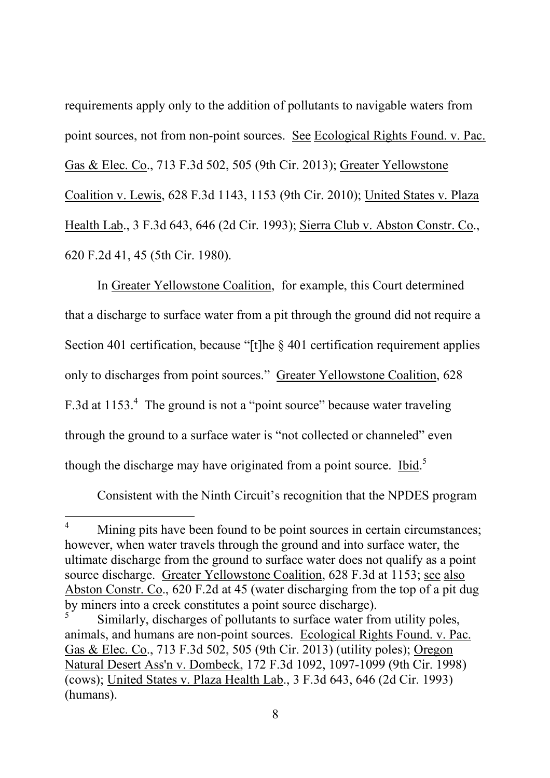requirements apply only to the addition of pollutants to navigable waters from point sources, not from non-point sources. See Ecological Rights Found. v. Pac. Gas & Elec. Co., 713 F.3d 502, 505 (9th Cir. 2013); Greater Yellowstone Coalition v. Lewis, 628 F.3d 1143, 1153 (9th Cir. 2010); United States v. Plaza Health Lab., 3 F.3d 643, 646 (2d Cir. 1993); Sierra Club v. Abston Constr. Co., 620 F.2d 41, 45 (5th Cir. 1980).

In Greater Yellowstone Coalition, for example, this Court determined that a discharge to surface water from a pit through the ground did not require a Section 401 certification, because "[t]he  $\&$  401 certification requirement applies only to discharges from point sources." Greater Yellowstone Coalition, 628 F.3d at 1153.<sup>4</sup> The ground is not a "point source" because water traveling through the ground to a surface water is "not collected or channeled" even though the discharge may have originated from a point source. Ibid.<sup>5</sup>

Consistent with the Ninth Circuit's recognition that the NPDES program

<sup>&</sup>lt;sup>4</sup> Mining pits have been found to be point sources in certain circumstances; however, when water travels through the ground and into surface water, the ultimate discharge from the ground to surface water does not qualify as a point source discharge. Greater Yellowstone Coalition, 628 F.3d at 1153; see also Abston Constr. Co., 620 F.2d at 45 (water discharging from the top of a pit dug by miners into a creek constitutes a point source discharge).

<sup>5</sup> Similarly, discharges of pollutants to surface water from utility poles, animals, and humans are non-point sources. Ecological Rights Found. v. Pac. Gas & Elec. Co., 713 F.3d 502, 505 (9th Cir. 2013) (utility poles); Oregon Natural Desert Ass'n v. Dombeck, 172 F.3d 1092, 1097-1099 (9th Cir. 1998) (cows); United States v. Plaza Health Lab., 3 F.3d 643, 646 (2d Cir. 1993) (humans).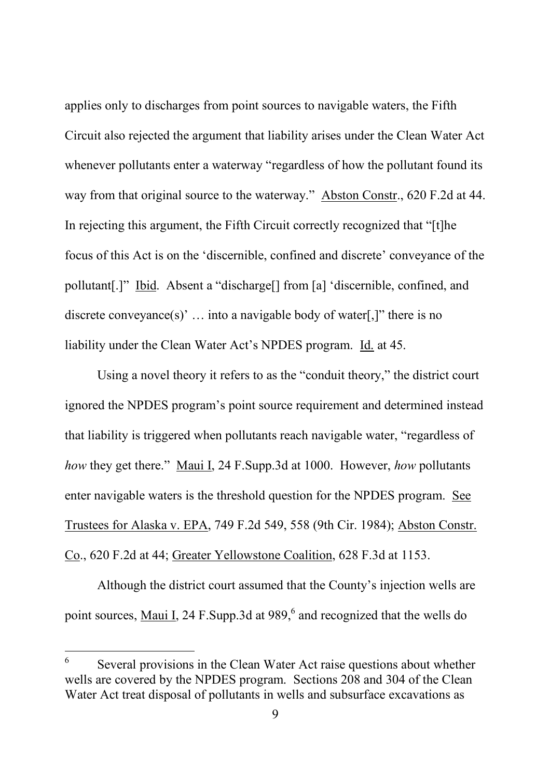applies only to discharges from point sources to navigable waters, the Fifth Circuit also rejected the argument that liability arises under the Clean Water Act whenever pollutants enter a waterway "regardless of how the pollutant found its way from that original source to the waterway." Abston Constr., 620 F.2d at 44. In rejecting this argument, the Fifth Circuit correctly recognized that "[t]he focus of this Act is on the 'discernible, confined and discrete' conveyance of the pollutant[.]" Ibid. Absent a "discharge[] from [a] 'discernible, confined, and discrete conveyance(s)'  $\ldots$  into a navigable body of water[,]" there is no liability under the Clean Water Act's NPDES program. Id. at 45.

Using a novel theory it refers to as the "conduit theory," the district court ignored the NPDES program's point source requirement and determined instead that liability is triggered when pollutants reach navigable water, "regardless of *how* they get there." Maui I, 24 F.Supp.3d at 1000. However, *how* pollutants enter navigable waters is the threshold question for the NPDES program. See Trustees for Alaska v. EPA, 749 F.2d 549, 558 (9th Cir. 1984); Abston Constr. Co., 620 F.2d at 44; Greater Yellowstone Coalition, 628 F.3d at 1153.

Although the district court assumed that the County's injection wells are point sources, Maui I, 24 F. Supp. 3d at 989,<sup>6</sup> and recognized that the wells do

<sup>6</sup> Several provisions in the Clean Water Act raise questions about whether wells are covered by the NPDES program. Sections 208 and 304 of the Clean Water Act treat disposal of pollutants in wells and subsurface excavations as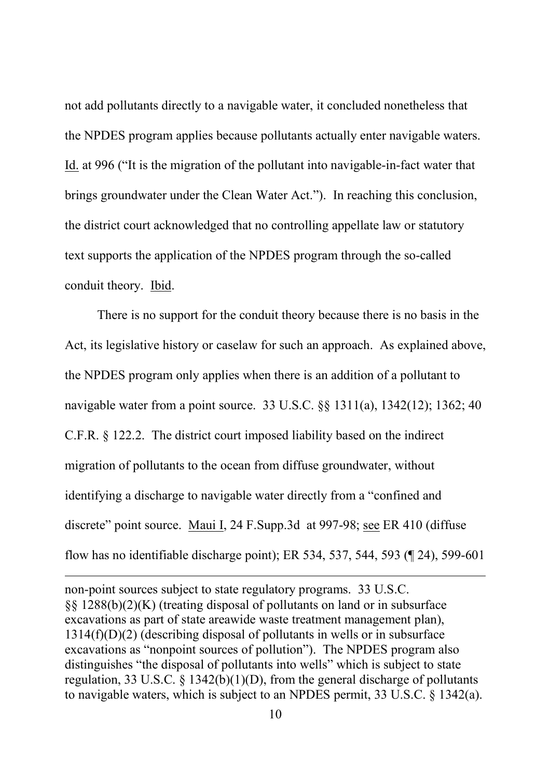not add pollutants directly to a navigable water, it concluded nonetheless that the NPDES program applies because pollutants actually enter navigable waters. Id. at 996 ("It is the migration of the pollutant into navigable-in-fact water that brings groundwater under the Clean Water Act."). In reaching this conclusion, the district court acknowledged that no controlling appellate law or statutory text supports the application of the NPDES program through the so-called conduit theory. Ibid.

There is no support for the conduit theory because there is no basis in the Act, its legislative history or caselaw for such an approach. As explained above, the NPDES program only applies when there is an addition of a pollutant to navigable water from a point source. 33 U.S.C. §§ 1311(a), 1342(12); 1362; 40 C.F.R. § 122.2. The district court imposed liability based on the indirect migration of pollutants to the ocean from diffuse groundwater, without identifying a discharge to navigable water directly from a "confined and discrete" point source. Maui I, 24 F.Supp.3d at 997-98; see ER 410 (diffuse flow has no identifiable discharge point); ER 534, 537, 544, 593 (¶ 24), 599-601

non-point sources subject to state regulatory programs. 33 U.S.C. §§ 1288(b)(2)(K) (treating disposal of pollutants on land or in subsurface excavations as part of state areawide waste treatment management plan), 1314(f)(D)(2) (describing disposal of pollutants in wells or in subsurface excavations as "nonpoint sources of pollution"). The NPDES program also distinguishes "the disposal of pollutants into wells" which is subject to state regulation, 33 U.S.C.  $\S$  1342(b)(1)(D), from the general discharge of pollutants to navigable waters, which is subject to an NPDES permit, 33 U.S.C. § 1342(a).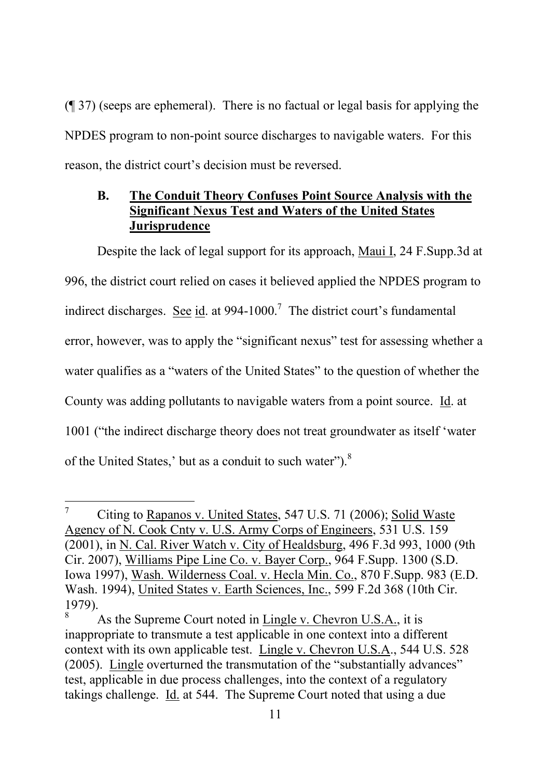(¶ 37) (seeps are ephemeral). There is no factual or legal basis for applying the NPDES program to non-point source discharges to navigable waters. For this reason, the district court's decision must be reversed.

### **B. The Conduit Theory Confuses Point Source Analysis with the Significant Nexus Test and Waters of the United States Jurisprudence**

Despite the lack of legal support for its approach, Maui I, 24 F. Supp. 3d at 996, the district court relied on cases it believed applied the NPDES program to indirect discharges. See id. at  $994-1000$ .<sup>7</sup> The district court's fundamental error, however, was to apply the "significant nexus" test for assessing whether a water qualifies as a "waters of the United States" to the question of whether the County was adding pollutants to navigable waters from a point source. Id. at 1001 ("the indirect discharge theory does not treat groundwater as itself 'water of the United States,' but as a conduit to such water").<sup>8</sup>

<sup>7</sup> Citing to Rapanos v. United States, 547 U.S. 71 (2006); Solid Waste Agency of N. Cook Cnty v. U.S. Army Corps of Engineers, 531 U.S. 159 (2001), in N. Cal. River Watch v. City of Healdsburg, 496 F.3d 993, 1000 (9th Cir. 2007), Williams Pipe Line Co. v. Bayer Corp., 964 F.Supp. 1300 (S.D. Iowa 1997), Wash. Wilderness Coal. v. Hecla Min. Co., 870 F.Supp. 983 (E.D. Wash. 1994), United States v. Earth Sciences, Inc., 599 F.2d 368 (10th Cir. 1979).

As the Supreme Court noted in Lingle v. Chevron U.S.A., it is inappropriate to transmute a test applicable in one context into a different context with its own applicable test. Lingle v. Chevron U.S.A., 544 U.S. 528 (2005). Lingle overturned the transmutation of the "substantially advances" test, applicable in due process challenges, into the context of a regulatory takings challenge. Id. at 544. The Supreme Court noted that using a due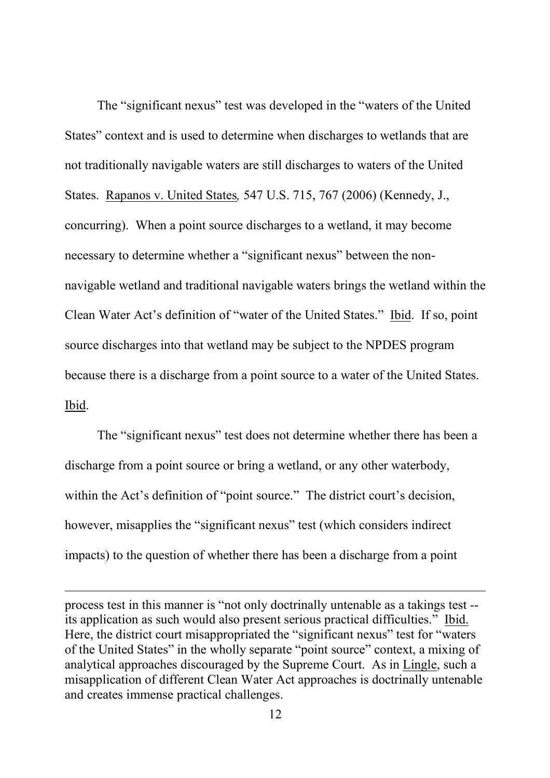The "significant nexus" test was developed in the "waters of the United States" context and is used to determine when discharges to wetlands that are not traditionally navigable waters are still discharges to waters of the United States. Rapanos v. United States*,* 547 U.S. 715, 767 (2006) (Kennedy, J., concurring). When a point source discharges to a wetland, it may become necessary to determine whether a "significant nexus" between the nonnavigable wetland and traditional navigable waters brings the wetland within the Clean Water Act's definition of "water of the United States." Ibid. If so, point source discharges into that wetland may be subject to the NPDES program because there is a discharge from a point source to a water of the United States. Ibid.

The "significant nexus" test does not determine whether there has been a discharge from a point source or bring a wetland, or any other waterbody, within the Act's definition of "point source." The district court's decision, however, misapplies the "significant nexus" test (which considers indirect impacts) to the question of whether there has been a discharge from a point

process test in this manner is "not only doctrinally untenable as a takings test - its application as such would also present serious practical difficulties." Ibid. Here, the district court misappropriated the "significant nexus" test for "waters" of the United States" in the wholly separate "point source" context, a mixing of analytical approaches discouraged by the Supreme Court. As in Lingle, such a misapplication of different Clean Water Act approaches is doctrinally untenable and creates immense practical challenges.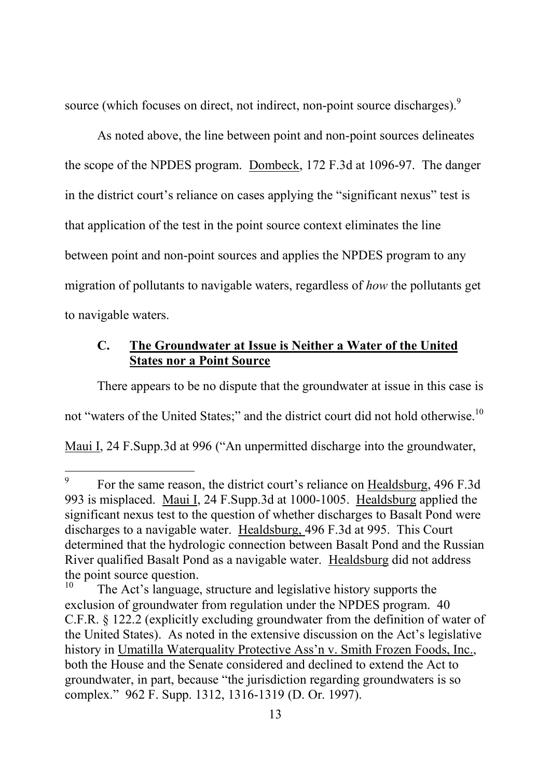source (which focuses on direct, not indirect, non-point source discharges).<sup>9</sup>

As noted above, the line between point and non-point sources delineates the scope of the NPDES program. Dombeck, 172 F.3d at 1096-97. The danger in the district court's reliance on cases applying the "significant nexus" test is that application of the test in the point source context eliminates the line between point and non-point sources and applies the NPDES program to any migration of pollutants to navigable waters, regardless of *how* the pollutants get to navigable waters.

### **C. The Groundwater at Issue is Neither a Water of the United States nor a Point Source**

There appears to be no dispute that the groundwater at issue in this case is not "waters of the United States;" and the district court did not hold otherwise.<sup>10</sup> Maui I, 24 F.Supp.3d at 996 ("An unpermitted discharge into the groundwater,

<sup>9</sup> For the same reason, the district court's reliance on Healdsburg, 496 F.3d 993 is misplaced. Maui I, 24 F.Supp.3d at 1000-1005. Healdsburg applied the significant nexus test to the question of whether discharges to Basalt Pond were discharges to a navigable water. Healdsburg, 496 F.3d at 995. This Court determined that the hydrologic connection between Basalt Pond and the Russian River qualified Basalt Pond as a navigable water. Healdsburg did not address the point source question.

The Act's language, structure and legislative history supports the exclusion of groundwater from regulation under the NPDES program. 40 C.F.R. § 122.2 (explicitly excluding groundwater from the definition of water of the United States). As noted in the extensive discussion on the Act's legislative history in Umatilla Waterquality Protective Ass'n v. Smith Frozen Foods, Inc., both the House and the Senate considered and declined to extend the Act to groundwater, in part, because "the jurisdiction regarding groundwaters is so complex." 962 F. Supp. 1312, 1316-1319 (D. Or. 1997).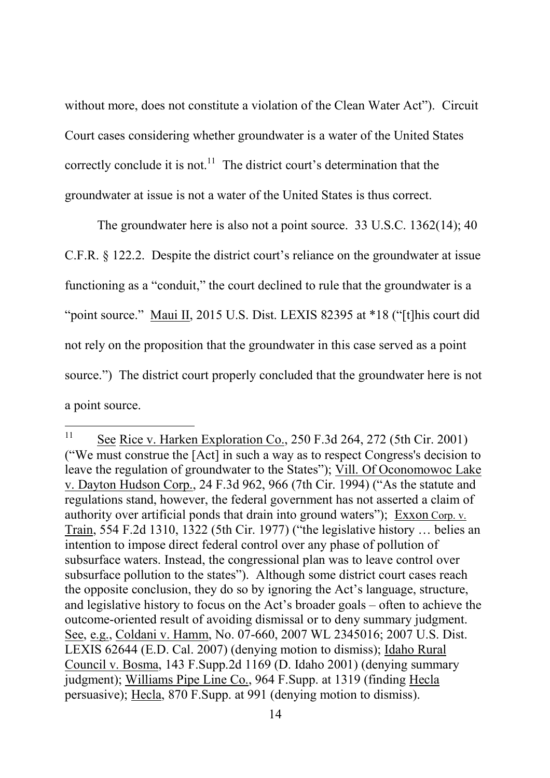without more, does not constitute a violation of the Clean Water Act"). Circuit Court cases considering whether groundwater is a water of the United States correctly conclude it is not.<sup>11</sup> The district court's determination that the groundwater at issue is not a water of the United States is thus correct.

The groundwater here is also not a point source. 33 U.S.C. 1362(14); 40 C.F.R. § 122.2. Despite the district court's reliance on the groundwater at issue functioning as a "conduit," the court declined to rule that the groundwater is a "point source." Maui II, 2015 U.S. Dist. LEXIS 82395 at \*18 ("[t]his court did not rely on the proposition that the groundwater in this case served as a point source.") The district court properly concluded that the groundwater here is not a point source.

<sup>&</sup>lt;sup>11</sup> See Rice v. Harken Exploration Co., 250 F.3d 264, 272 (5th Cir. 2001) ("We must construe the [Act] in such a way as to respect Congress's decision to leave the regulation of groundwater to the States"); Vill. Of Oconomowoc Lake v. Dayton Hudson Corp., 24 F.3d 962, 966 (7th Cir. 1994) ("As the statute and regulations stand, however, the federal government has not asserted a claim of authority over artificial ponds that drain into ground waters"); Exxon Corp. v. Train, 554 F.2d 1310, 1322 (5th Cir. 1977) ("the legislative history … belies an intention to impose direct federal control over any phase of pollution of subsurface waters. Instead, the congressional plan was to leave control over subsurface pollution to the states"). Although some district court cases reach the opposite conclusion, they do so by ignoring the Act's language, structure, and legislative history to focus on the Act's broader goals – often to achieve the outcome-oriented result of avoiding dismissal or to deny summary judgment. See, e.g., Coldani v. Hamm, No. 07-660, 2007 WL 2345016; 2007 U.S. Dist. LEXIS 62644 (E.D. Cal. 2007) (denying motion to dismiss); Idaho Rural Council v. Bosma, 143 F.Supp.2d 1169 (D. Idaho 2001) (denying summary judgment); Williams Pipe Line Co., 964 F.Supp. at 1319 (finding Hecla persuasive); Hecla, 870 F.Supp. at 991 (denying motion to dismiss).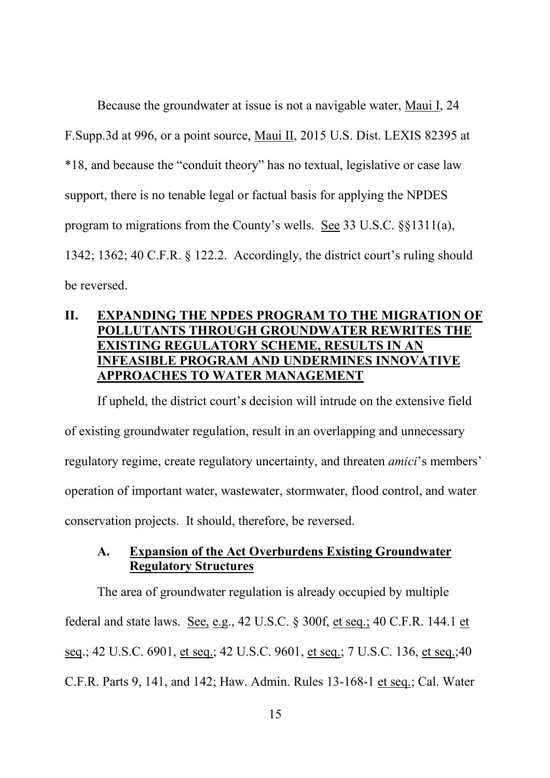Because the groundwater at issue is not a navigable water, Maui I, 24 F.Supp.3d at 996, or a point source, Maui II, 2015 U.S. Dist. LEXIS 82395 at \*18, and because the "conduit theory" has no textual, legislative or case law support, there is no tenable legal or factual basis for applying the NPDES program to migrations from the County's wells. See 33 U.S.C. §§1311(a), 1342; 1362; 40 C.F.R. § 122.2. Accordingly, the district court's ruling should be reversed.

### **II. EXPANDING THE NPDES PROGRAM TO THE MIGRATION OF POLLUTANTS THROUGH GROUNDWATER REWRITES THE EXISTING REGULATORY SCHEME, RESULTS IN AN INFEASIBLE PROGRAM AND UNDERMINES INNOVATIVE APPROACHES TO WATER MANAGEMENT**

If upheld, the district court's decision will intrude on the extensive field of existing groundwater regulation, result in an overlapping and unnecessary regulatory regime, create regulatory uncertainty, and threaten *amici*'s members' operation of important water, wastewater, stormwater, flood control, and water conservation projects. It should, therefore, be reversed.

### **A. Expansion of the Act Overburdens Existing Groundwater Regulatory Structures**

The area of groundwater regulation is already occupied by multiple federal and state laws. See, e.g., 42 U.S.C. § 300f, et seq.; 40 C.F.R. 144.1 et seq.; 42 U.S.C. 6901, et seq.; 42 U.S.C. 9601, et seq.; 7 U.S.C. 136, et seq.;40 C.F.R. Parts 9, 141, and 142; Haw. Admin. Rules 13-168-1 et seq.; Cal. Water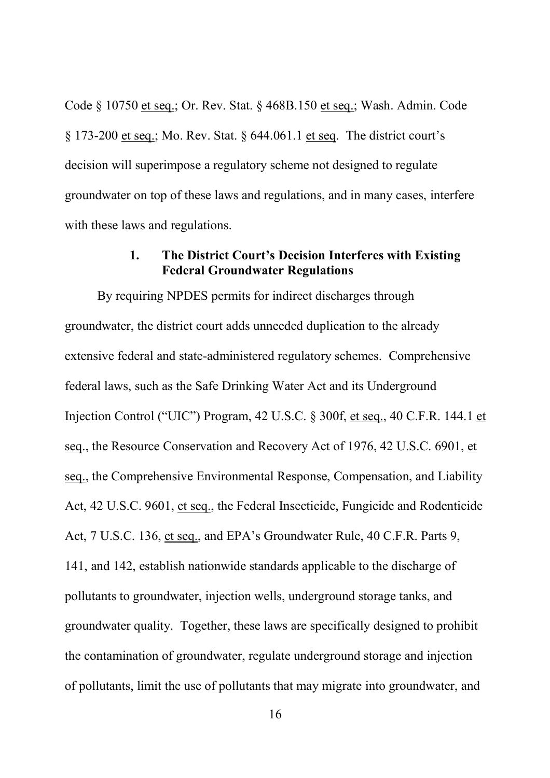Code § 10750 et seq.; Or. Rev. Stat. § 468B.150 et seq.; Wash. Admin. Code § 173-200 et seq.; Mo. Rev. Stat. § 644.061.1 et seq. The district court's decision will superimpose a regulatory scheme not designed to regulate groundwater on top of these laws and regulations, and in many cases, interfere with these laws and regulations.

### **1. The District Court's Decision Interferes with Existing Federal Groundwater Regulations**

By requiring NPDES permits for indirect discharges through groundwater, the district court adds unneeded duplication to the already extensive federal and state-administered regulatory schemes. Comprehensive federal laws, such as the Safe Drinking Water Act and its Underground Injection Control ("UIC") Program, 42 U.S.C. § 300f, et seq., 40 C.F.R. 144.1 et seq., the Resource Conservation and Recovery Act of 1976, 42 U.S.C. 6901, et seq., the Comprehensive Environmental Response, Compensation, and Liability Act, 42 U.S.C. 9601, et seq., the Federal Insecticide, Fungicide and Rodenticide Act, 7 U.S.C. 136, et seq., and EPA's Groundwater Rule, 40 C.F.R. Parts 9, 141, and 142, establish nationwide standards applicable to the discharge of pollutants to groundwater, injection wells, underground storage tanks, and groundwater quality. Together, these laws are specifically designed to prohibit the contamination of groundwater, regulate underground storage and injection of pollutants, limit the use of pollutants that may migrate into groundwater, and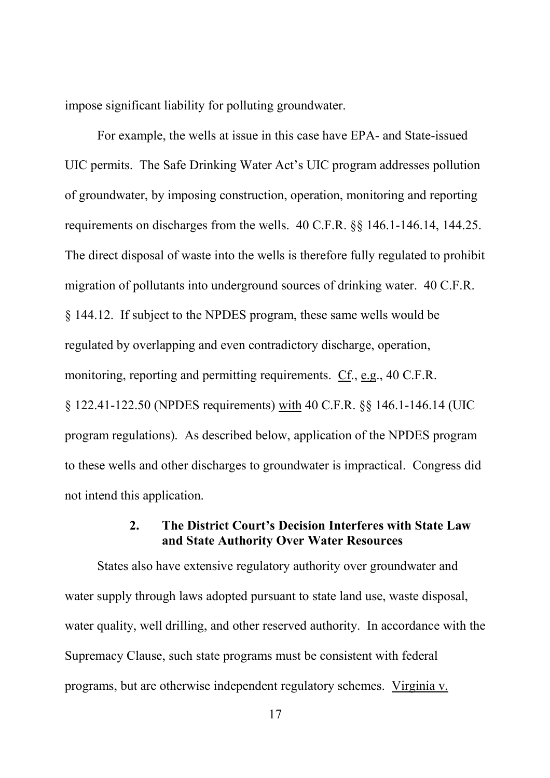impose significant liability for polluting groundwater.

For example, the wells at issue in this case have EPA- and State-issued UIC permits. The Safe Drinking Water Act's UIC program addresses pollution of groundwater, by imposing construction, operation, monitoring and reporting requirements on discharges from the wells. 40 C.F.R. §§ 146.1-146.14, 144.25. The direct disposal of waste into the wells is therefore fully regulated to prohibit migration of pollutants into underground sources of drinking water. 40 C.F.R. § 144.12. If subject to the NPDES program, these same wells would be regulated by overlapping and even contradictory discharge, operation, monitoring, reporting and permitting requirements. Cf., e.g., 40 C.F.R. § 122.41-122.50 (NPDES requirements) with 40 C.F.R. §§ 146.1-146.14 (UIC program regulations). As described below, application of the NPDES program to these wells and other discharges to groundwater is impractical. Congress did not intend this application.

#### **2. The District Court's Decision Interferes with State Law and State Authority Over Water Resources**

States also have extensive regulatory authority over groundwater and water supply through laws adopted pursuant to state land use, waste disposal, water quality, well drilling, and other reserved authority. In accordance with the Supremacy Clause, such state programs must be consistent with federal programs, but are otherwise independent regulatory schemes. Virginia v.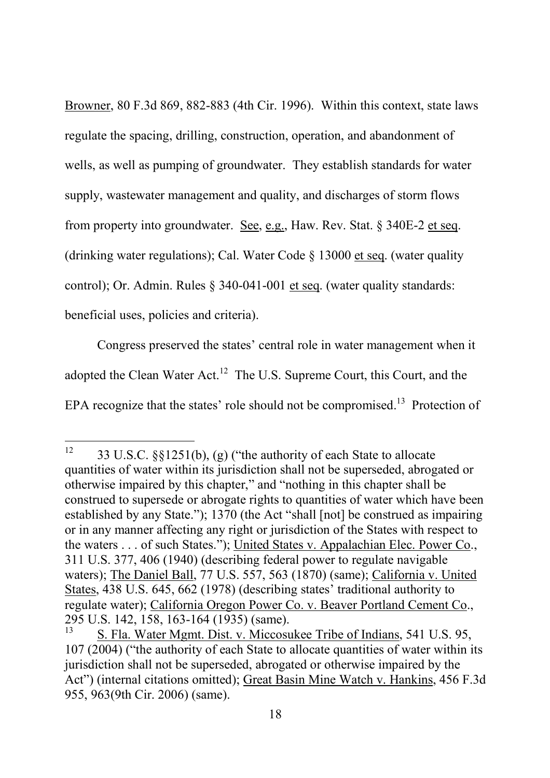Browner, 80 F.3d 869, 882-883 (4th Cir. 1996). Within this context, state laws regulate the spacing, drilling, construction, operation, and abandonment of wells, as well as pumping of groundwater. They establish standards for water supply, wastewater management and quality, and discharges of storm flows from property into groundwater. See, e.g., Haw. Rev. Stat. § 340E-2 et seq. (drinking water regulations); Cal. Water Code § 13000 et seq. (water quality control); Or. Admin. Rules § 340-041-001 et seq. (water quality standards: beneficial uses, policies and criteria).

Congress preserved the states' central role in water management when it adopted the Clean Water Act.<sup>12</sup> The U.S. Supreme Court, this Court, and the EPA recognize that the states' role should not be compromised.<sup>13</sup> Protection of

<sup>&</sup>lt;sup>12</sup> 33 U.S.C. §§1251(b), (g) ("the authority of each State to allocate quantities of water within its jurisdiction shall not be superseded, abrogated or otherwise impaired by this chapter," and "nothing in this chapter shall be construed to supersede or abrogate rights to quantities of water which have been established by any State."); 1370 (the Act "shall [not] be construed as impairing or in any manner affecting any right or jurisdiction of the States with respect to the waters . . . of such States."); United States v. Appalachian Elec. Power Co., 311 U.S. 377, 406 (1940) (describing federal power to regulate navigable waters); The Daniel Ball, 77 U.S. 557, 563 (1870) (same); California v. United States, 438 U.S. 645, 662 (1978) (describing states' traditional authority to regulate water); California Oregon Power Co. v. Beaver Portland Cement Co., 295 U.S. 142, 158, 163-164 (1935) (same).

<sup>13</sup> S. Fla. Water Mgmt. Dist. v. Miccosukee Tribe of Indians, 541 U.S. 95, 107 (2004) ("the authority of each State to allocate quantities of water within its jurisdiction shall not be superseded, abrogated or otherwise impaired by the Act") (internal citations omitted); Great Basin Mine Watch v. Hankins, 456 F.3d 955, 963(9th Cir. 2006) (same).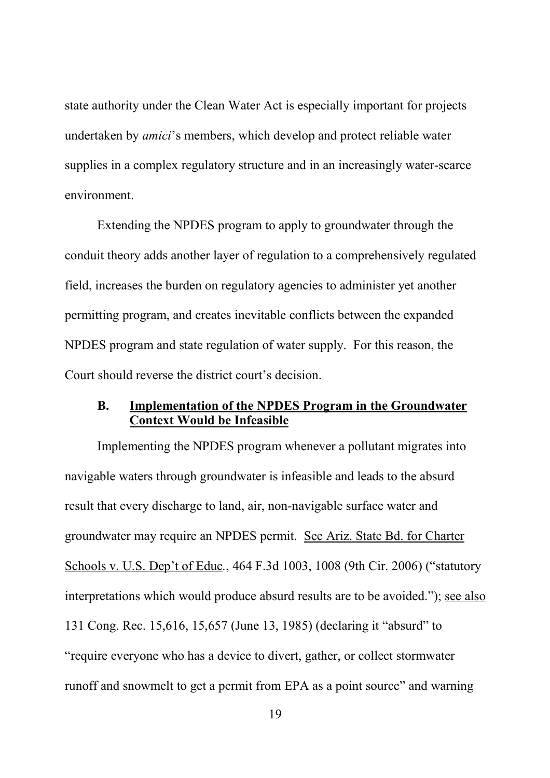state authority under the Clean Water Act is especially important for projects undertaken by *amici*'s members, which develop and protect reliable water supplies in a complex regulatory structure and in an increasingly water-scarce environment.

Extending the NPDES program to apply to groundwater through the conduit theory adds another layer of regulation to a comprehensively regulated field, increases the burden on regulatory agencies to administer yet another permitting program, and creates inevitable conflicts between the expanded NPDES program and state regulation of water supply. For this reason, the Court should reverse the district court's decision.

#### **B. Implementation of the NPDES Program in the Groundwater Context Would be Infeasible**

Implementing the NPDES program whenever a pollutant migrates into navigable waters through groundwater is infeasible and leads to the absurd result that every discharge to land, air, non-navigable surface water and groundwater may require an NPDES permit. See Ariz. State Bd. for Charter Schools v. U.S. Dep't of Educ*.*, 464 F.3d 1003, 1008 (9th Cir. 2006) ("statutory interpretations which would produce absurd results are to be avoided."); see also 131 Cong. Rec. 15,616, 15,657 (June 13, 1985) (declaring it "absurd" to "require everyone who has a device to divert, gather, or collect stormwater runoff and snowmelt to get a permit from EPA as a point source" and warning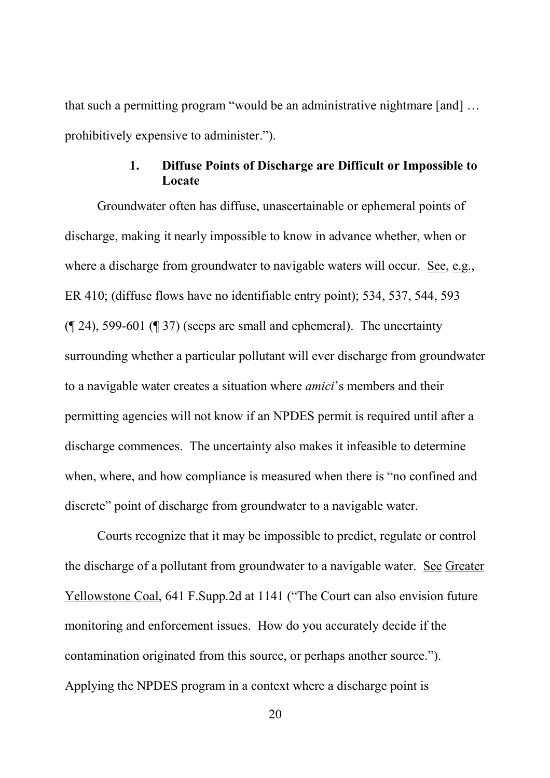that such a permitting program "would be an administrative nightmare [and] … prohibitively expensive to administer.").

### **1. Diffuse Points of Discharge are Difficult or Impossible to Locate**

Groundwater often has diffuse, unascertainable or ephemeral points of discharge, making it nearly impossible to know in advance whether, when or where a discharge from groundwater to navigable waters will occur. See, e.g., ER 410; (diffuse flows have no identifiable entry point); 534, 537, 544, 593 (¶ 24), 599-601 (¶ 37) (seeps are small and ephemeral). The uncertainty surrounding whether a particular pollutant will ever discharge from groundwater to a navigable water creates a situation where *amici*'s members and their permitting agencies will not know if an NPDES permit is required until after a discharge commences. The uncertainty also makes it infeasible to determine when, where, and how compliance is measured when there is "no confined and discrete" point of discharge from groundwater to a navigable water.

Courts recognize that it may be impossible to predict, regulate or control the discharge of a pollutant from groundwater to a navigable water. See Greater Yellowstone Coal, 641 F.Supp.2d at 1141 ("The Court can also envision future monitoring and enforcement issues. How do you accurately decide if the contamination originated from this source, or perhaps another source."). Applying the NPDES program in a context where a discharge point is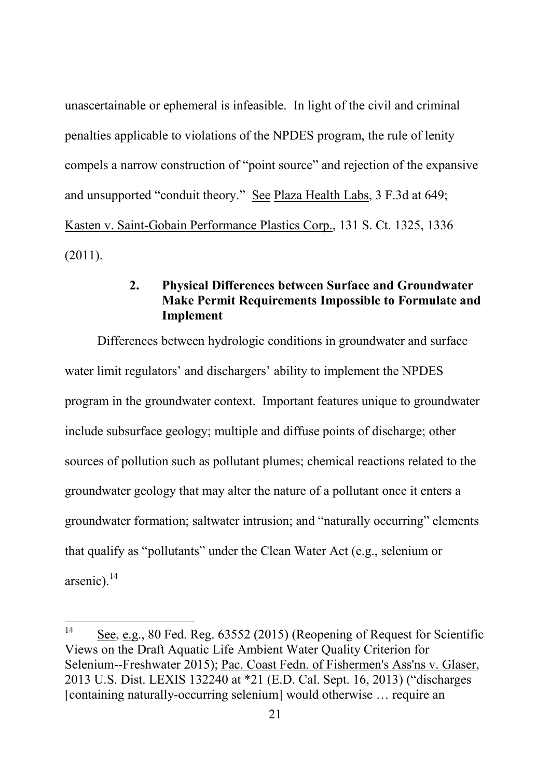unascertainable or ephemeral is infeasible. In light of the civil and criminal penalties applicable to violations of the NPDES program, the rule of lenity compels a narrow construction of "point source" and rejection of the expansive and unsupported "conduit theory." See Plaza Health Labs, 3 F.3d at 649; Kasten v. Saint-Gobain Performance Plastics Corp., 131 S. Ct. 1325, 1336 (2011).

### **2. Physical Differences between Surface and Groundwater Make Permit Requirements Impossible to Formulate and Implement**

Differences between hydrologic conditions in groundwater and surface water limit regulators' and dischargers' ability to implement the NPDES program in the groundwater context. Important features unique to groundwater include subsurface geology; multiple and diffuse points of discharge; other sources of pollution such as pollutant plumes; chemical reactions related to the groundwater geology that may alter the nature of a pollutant once it enters a groundwater formation; saltwater intrusion; and "naturally occurring" elements that qualify as "pollutants" under the Clean Water Act (e.g., selenium or arsenic). $^{14}$ 

<sup>14</sup> See, e.g., 80 Fed. Reg. 63552 (2015) (Reopening of Request for Scientific Views on the Draft Aquatic Life Ambient Water Quality Criterion for Selenium--Freshwater 2015); Pac. Coast Fedn. of Fishermen's Ass'ns v. Glaser, 2013 U.S. Dist. LEXIS 132240 at \*21 (E.D. Cal. Sept. 16, 2013) ("discharges [containing naturally-occurring selenium] would otherwise … require an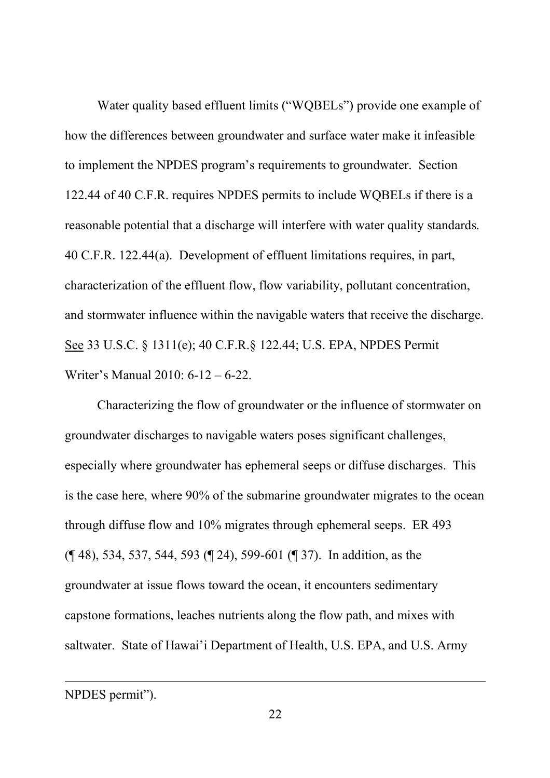Water quality based effluent limits ("WQBELs") provide one example of how the differences between groundwater and surface water make it infeasible to implement the NPDES program's requirements to groundwater. Section 122.44 of 40 C.F.R. requires NPDES permits to include WQBELs if there is a reasonable potential that a discharge will interfere with water quality standards. 40 C.F.R. 122.44(a). Development of effluent limitations requires, in part, characterization of the effluent flow, flow variability, pollutant concentration, and stormwater influence within the navigable waters that receive the discharge. See 33 U.S.C. § 1311(e); 40 C.F.R.§ 122.44; U.S. EPA, NPDES Permit Writer's Manual 2010: 6-12 – 6-22.

Characterizing the flow of groundwater or the influence of stormwater on groundwater discharges to navigable waters poses significant challenges, especially where groundwater has ephemeral seeps or diffuse discharges. This is the case here, where 90% of the submarine groundwater migrates to the ocean through diffuse flow and 10% migrates through ephemeral seeps. ER 493 (¶ 48), 534, 537, 544, 593 (¶ 24), 599-601 (¶ 37). In addition, as the groundwater at issue flows toward the ocean, it encounters sedimentary capstone formations, leaches nutrients along the flow path, and mixes with saltwater. State of Hawai'i Department of Health, U.S. EPA, and U.S. Army

NPDES permit").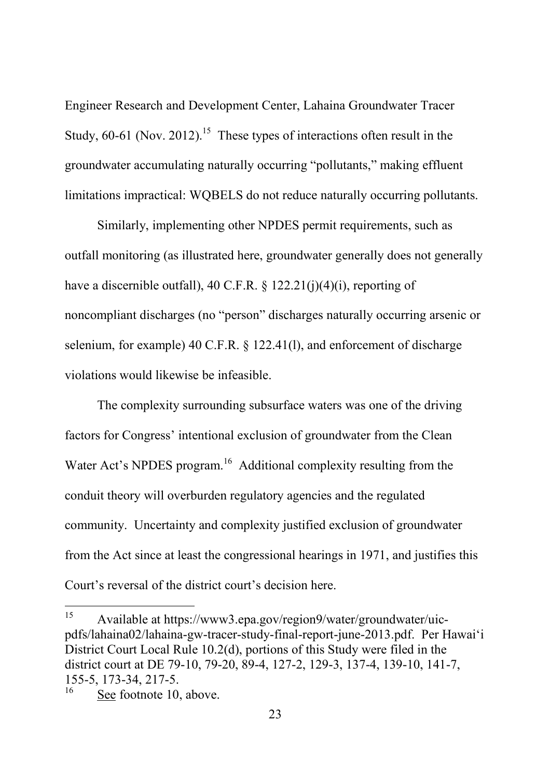Engineer Research and Development Center, Lahaina Groundwater Tracer Study,  $60-61$  (Nov. 2012).<sup>15</sup> These types of interactions often result in the groundwater accumulating naturally occurring "pollutants," making effluent limitations impractical: WQBELS do not reduce naturally occurring pollutants.

Similarly, implementing other NPDES permit requirements, such as outfall monitoring (as illustrated here, groundwater generally does not generally have a discernible outfall), 40 C.F.R.  $\S$  122.21(j)(4)(i), reporting of noncompliant discharges (no "person" discharges naturally occurring arsenic or selenium, for example) 40 C.F.R. § 122.41(l), and enforcement of discharge violations would likewise be infeasible.

The complexity surrounding subsurface waters was one of the driving factors for Congress' intentional exclusion of groundwater from the Clean Water Act's NPDES program.<sup>16</sup> Additional complexity resulting from the conduit theory will overburden regulatory agencies and the regulated community. Uncertainty and complexity justified exclusion of groundwater from the Act since at least the congressional hearings in 1971, and justifies this Court's reversal of the district court's decision here.

<sup>15</sup> Available at https://www3.epa.gov/region9/water/groundwater/uicpdfs/lahaina02/lahaina-gw-tracer-study-final-report-june-2013.pdf. Per Hawai'i District Court Local Rule 10.2(d), portions of this Study were filed in the district court at DE 79-10, 79-20, 89-4, 127-2, 129-3, 137-4, 139-10, 141-7, 155-5, 173-34, 217-5.<br><sup>16</sup> See fectors 10.

See footnote 10, above.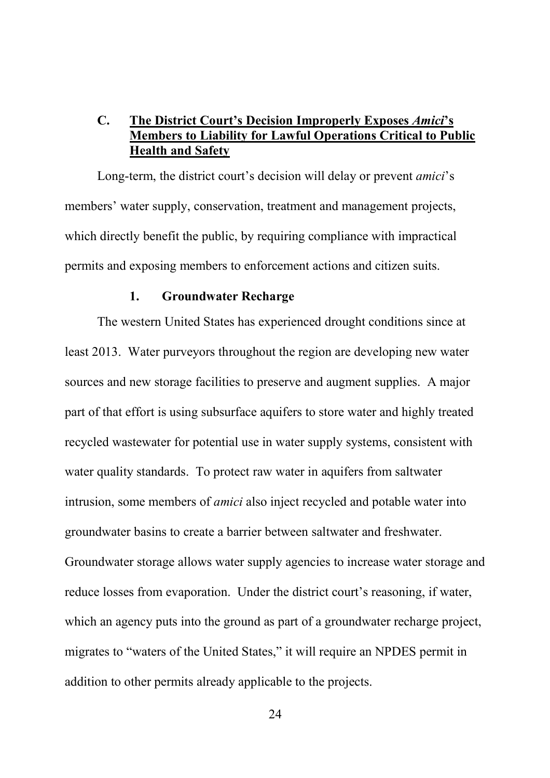### **C. The District Court's Decision Improperly Exposes** *Amici***'s Members to Liability for Lawful Operations Critical to Public Health and Safety**

Long-term, the district court's decision will delay or prevent *amici*'s members' water supply, conservation, treatment and management projects, which directly benefit the public, by requiring compliance with impractical permits and exposing members to enforcement actions and citizen suits.

#### **1. Groundwater Recharge**

The western United States has experienced drought conditions since at least 2013. Water purveyors throughout the region are developing new water sources and new storage facilities to preserve and augment supplies. A major part of that effort is using subsurface aquifers to store water and highly treated recycled wastewater for potential use in water supply systems, consistent with water quality standards. To protect raw water in aquifers from saltwater intrusion, some members of *amici* also inject recycled and potable water into groundwater basins to create a barrier between saltwater and freshwater. Groundwater storage allows water supply agencies to increase water storage and reduce losses from evaporation. Under the district court's reasoning, if water, which an agency puts into the ground as part of a groundwater recharge project, migrates to "waters of the United States," it will require an NPDES permit in addition to other permits already applicable to the projects.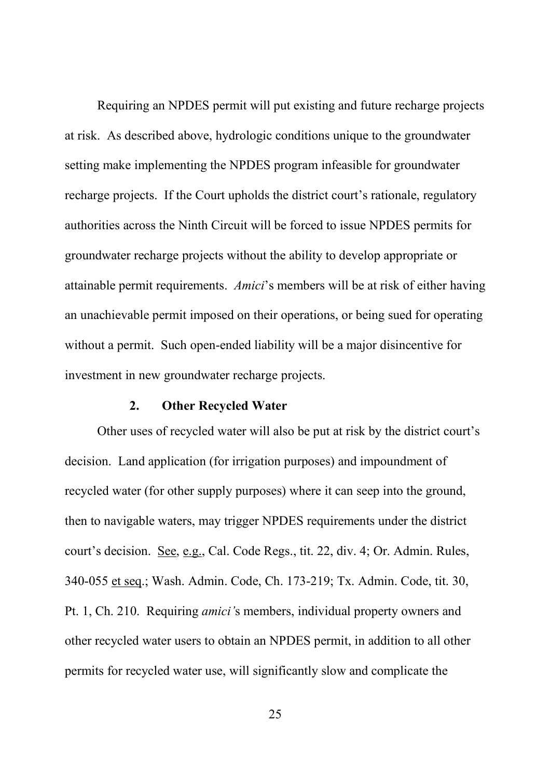Requiring an NPDES permit will put existing and future recharge projects at risk. As described above, hydrologic conditions unique to the groundwater setting make implementing the NPDES program infeasible for groundwater recharge projects. If the Court upholds the district court's rationale, regulatory authorities across the Ninth Circuit will be forced to issue NPDES permits for groundwater recharge projects without the ability to develop appropriate or attainable permit requirements. *Amici*'s members will be at risk of either having an unachievable permit imposed on their operations, or being sued for operating without a permit. Such open-ended liability will be a major disincentive for investment in new groundwater recharge projects.

#### **2. Other Recycled Water**

Other uses of recycled water will also be put at risk by the district court's decision. Land application (for irrigation purposes) and impoundment of recycled water (for other supply purposes) where it can seep into the ground, then to navigable waters, may trigger NPDES requirements under the district court's decision. See, e.g., Cal. Code Regs., tit. 22, div. 4; Or. Admin. Rules, 340-055 et seq.; Wash. Admin. Code, Ch. 173-219; Tx. Admin. Code, tit. 30, Pt. 1, Ch. 210. Requiring *amici'*s members, individual property owners and other recycled water users to obtain an NPDES permit, in addition to all other permits for recycled water use, will significantly slow and complicate the

25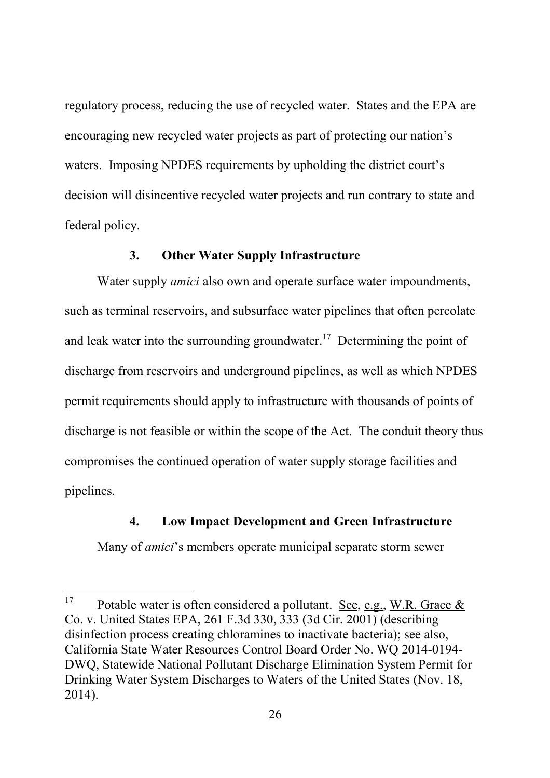regulatory process, reducing the use of recycled water. States and the EPA are encouraging new recycled water projects as part of protecting our nation's waters. Imposing NPDES requirements by upholding the district court's decision will disincentive recycled water projects and run contrary to state and federal policy.

#### **3. Other Water Supply Infrastructure**

Water supply *amici* also own and operate surface water impoundments, such as terminal reservoirs, and subsurface water pipelines that often percolate and leak water into the surrounding groundwater.<sup>17</sup> Determining the point of discharge from reservoirs and underground pipelines, as well as which NPDES permit requirements should apply to infrastructure with thousands of points of discharge is not feasible or within the scope of the Act. The conduit theory thus compromises the continued operation of water supply storage facilities and pipelines.

#### **4. Low Impact Development and Green Infrastructure**

Many of *amici*'s members operate municipal separate storm sewer

<sup>&</sup>lt;sup>17</sup> Potable water is often considered a pollutant. See, e.g., W.R. Grace  $\&$ Co. v. United States EPA, 261 F.3d 330, 333 (3d Cir. 2001) (describing disinfection process creating chloramines to inactivate bacteria); see also, California State Water Resources Control Board Order No. WQ 2014-0194- DWQ, Statewide National Pollutant Discharge Elimination System Permit for Drinking Water System Discharges to Waters of the United States (Nov. 18, 2014).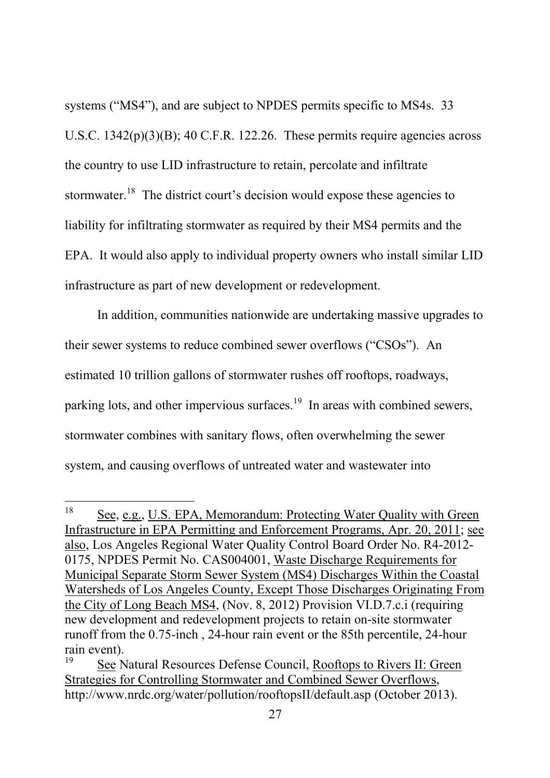systems ("MS4"), and are subject to NPDES permits specific to MS4s. 33 U.S.C. 1342(p)(3)(B); 40 C.F.R. 122.26. These permits require agencies across the country to use LID infrastructure to retain, percolate and infiltrate stormwater.<sup>18</sup> The district court's decision would expose these agencies to liability for infiltrating stormwater as required by their MS4 permits and the EPA. It would also apply to individual property owners who install similar LID infrastructure as part of new development or redevelopment.

In addition, communities nationwide are undertaking massive upgrades to their sewer systems to reduce combined sewer overflows ("CSOs"). An estimated 10 trillion gallons of stormwater rushes off rooftops, roadways, parking lots, and other impervious surfaces.<sup>19</sup> In areas with combined sewers, stormwater combines with sanitary flows, often overwhelming the sewer system, and causing overflows of untreated water and wastewater into

<sup>18</sup> See, e.g., U.S. EPA, Memorandum: Protecting Water Quality with Green Infrastructure in EPA Permitting and Enforcement Programs, Apr. 20, 2011; see also, Los Angeles Regional Water Quality Control Board Order No. R4-2012- 0175, NPDES Permit No. CAS004001, Waste Discharge Requirements for Municipal Separate Storm Sewer System (MS4) Discharges Within the Coastal Watersheds of Los Angeles County, Except Those Discharges Originating From the City of Long Beach MS4, (Nov. 8, 2012) Provision VI.D.7.c.i (requiring new development and redevelopment projects to retain on-site stormwater runoff from the 0.75-inch , 24-hour rain event or the 85th percentile, 24-hour rain event).

<sup>19</sup> See Natural Resources Defense Council, Rooftops to Rivers II: Green Strategies for Controlling Stormwater and Combined Sewer Overflows, http://www.nrdc.org/water/pollution/rooftopsII/default.asp (October 2013).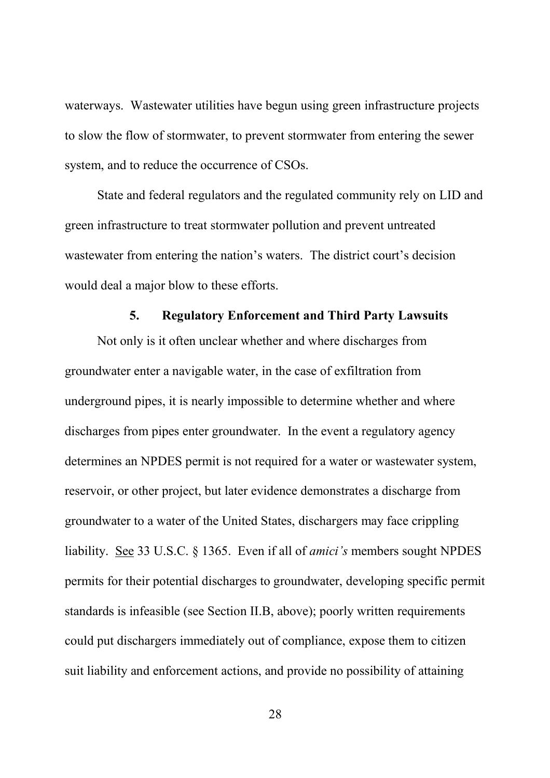waterways. Wastewater utilities have begun using green infrastructure projects to slow the flow of stormwater, to prevent stormwater from entering the sewer system, and to reduce the occurrence of CSOs.

State and federal regulators and the regulated community rely on LID and green infrastructure to treat stormwater pollution and prevent untreated wastewater from entering the nation's waters. The district court's decision would deal a major blow to these efforts.

#### **5. Regulatory Enforcement and Third Party Lawsuits**

Not only is it often unclear whether and where discharges from groundwater enter a navigable water, in the case of exfiltration from underground pipes, it is nearly impossible to determine whether and where discharges from pipes enter groundwater. In the event a regulatory agency determines an NPDES permit is not required for a water or wastewater system, reservoir, or other project, but later evidence demonstrates a discharge from groundwater to a water of the United States, dischargers may face crippling liability. See 33 U.S.C. § 1365. Even if all of *amici's* members sought NPDES permits for their potential discharges to groundwater, developing specific permit standards is infeasible (see Section II.B, above); poorly written requirements could put dischargers immediately out of compliance, expose them to citizen suit liability and enforcement actions, and provide no possibility of attaining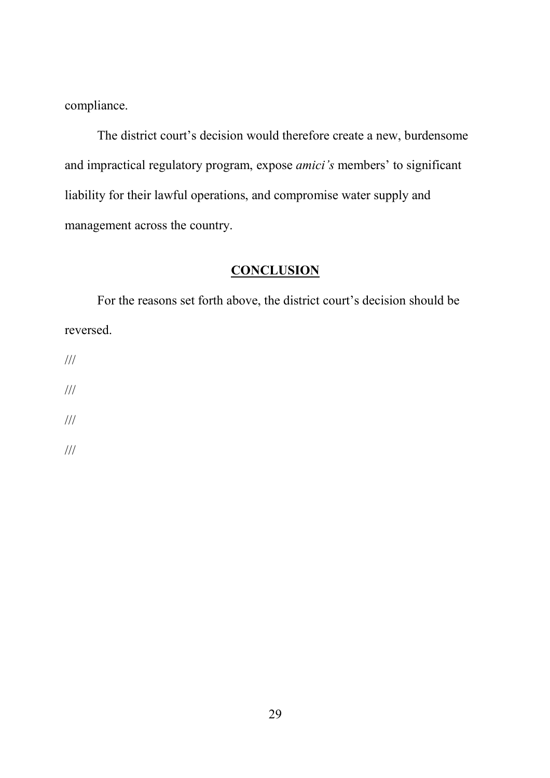compliance.

The district court's decision would therefore create a new, burdensome and impractical regulatory program, expose *amici's* members' to significant liability for their lawful operations, and compromise water supply and management across the country.

# **CONCLUSION**

For the reasons set forth above, the district court's decision should be reversed.

///

///

///

///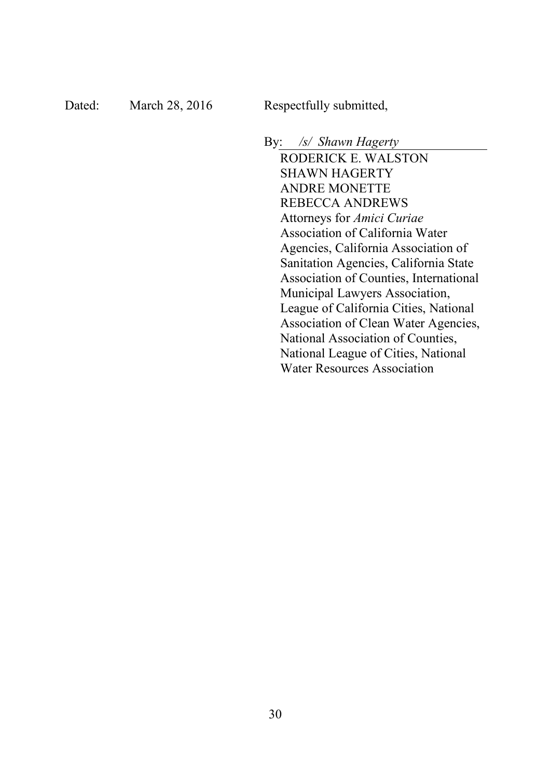By: */s/ Shawn Hagerty* RODERICK E. WALSTON SHAWN HAGERTY ANDRE MONETTE REBECCA ANDREWS Attorneys for *Amici Curiae* Association of California Water Agencies, California Association of Sanitation Agencies, California State Association of Counties, International Municipal Lawyers Association, League of California Cities, National Association of Clean Water Agencies, National Association of Counties, National League of Cities, National Water Resources Association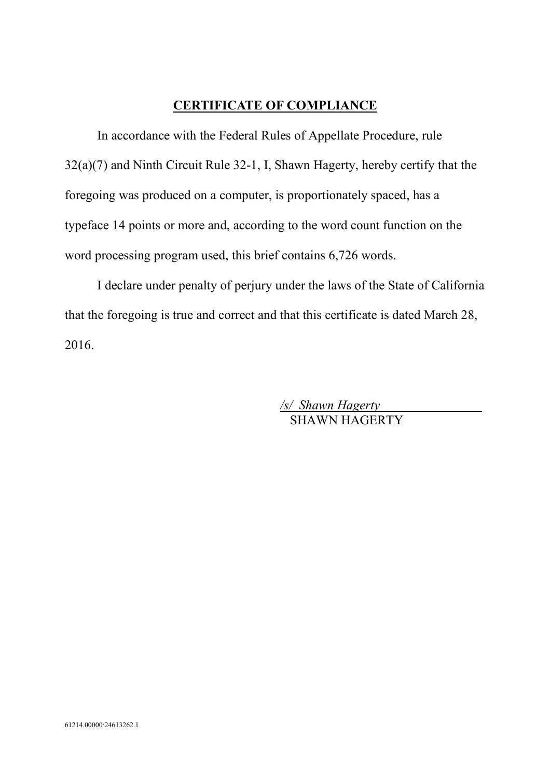# **CERTIFICATE OF COMPLIANCE**

In accordance with the Federal Rules of Appellate Procedure, rule 32(a)(7) and Ninth Circuit Rule 32-1, I, Shawn Hagerty, hereby certify that the foregoing was produced on a computer, is proportionately spaced, has a typeface 14 points or more and, according to the word count function on the word processing program used, this brief contains 6,726 words.

I declare under penalty of perjury under the laws of the State of California that the foregoing is true and correct and that this certificate is dated March 28, 2016.

> */s/ Shawn Hagerty* SHAWN HAGERTY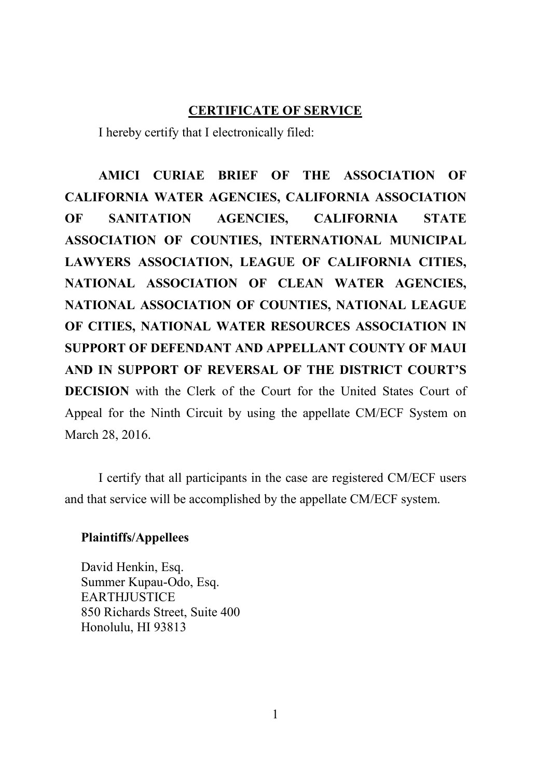### **CERTIFICATE OF SERVICE**

I hereby certify that I electronically filed:

**AMICI CURIAE BRIEF OF THE ASSOCIATION OF CALIFORNIA WATER AGENCIES, CALIFORNIA ASSOCIATION OF SANITATION AGENCIES, CALIFORNIA STATE ASSOCIATION OF COUNTIES, INTERNATIONAL MUNICIPAL LAWYERS ASSOCIATION, LEAGUE OF CALIFORNIA CITIES, NATIONAL ASSOCIATION OF CLEAN WATER AGENCIES, NATIONAL ASSOCIATION OF COUNTIES, NATIONAL LEAGUE OF CITIES, NATIONAL WATER RESOURCES ASSOCIATION IN SUPPORT OF DEFENDANT AND APPELLANT COUNTY OF MAUI AND IN SUPPORT OF REVERSAL OF THE DISTRICT COURT'S DECISION** with the Clerk of the Court for the United States Court of Appeal for the Ninth Circuit by using the appellate CM/ECF System on March 28, 2016.

I certify that all participants in the case are registered CM/ECF users and that service will be accomplished by the appellate CM/ECF system.

#### **Plaintiffs/Appellees**

David Henkin, Esq. Summer Kupau-Odo, Esq. **EARTHJUSTICE** 850 Richards Street, Suite 400 Honolulu, HI 93813